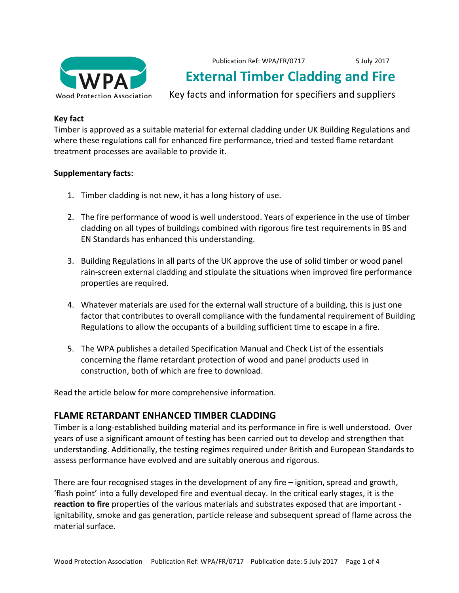

Publication Ref: WPA/FR/0717 5 July 2017

# **External Timber Cladding and Fire**

Key facts and information for specifiers and suppliers

## **Key fact**

Timber is approved as a suitable material for external cladding under UK Building Regulations and where these regulations call for enhanced fire performance, tried and tested flame retardant treatment processes are available to provide it.

## **Supplementary facts:**

- 1. Timber cladding is not new, it has a long history of use.
- 2. The fire performance of wood is well understood. Years of experience in the use of timber cladding on all types of buildings combined with rigorous fire test requirements in BS and EN Standards has enhanced this understanding.
- 3. Building Regulations in all parts of the UK approve the use of solid timber or wood panel rain-screen external cladding and stipulate the situations when improved fire performance properties are required.
- 4. Whatever materials are used for the external wall structure of a building, this is just one factor that contributes to overall compliance with the fundamental requirement of Building Regulations to allow the occupants of a building sufficient time to escape in a fire.
- 5. The WPA publishes a detailed Specification Manual and Check List of the essentials concerning the flame retardant protection of wood and panel products used in construction, both of which are free to download.

Read the article below for more comprehensive information.

## **FLAME RETARDANT ENHANCED TIMBER CLADDING**

Timber is a long-established building material and its performance in fire is well understood. Over years of use a significant amount of testing has been carried out to develop and strengthen that understanding. Additionally, the testing regimes required under British and European Standards to assess performance have evolved and are suitably onerous and rigorous.

There are four recognised stages in the development of any fire  $-$  ignition, spread and growth, 'flash point' into a fully developed fire and eventual decay. In the critical early stages, it is the **reaction to fire** properties of the various materials and substrates exposed that are important ignitability, smoke and gas generation, particle release and subsequent spread of flame across the material surface.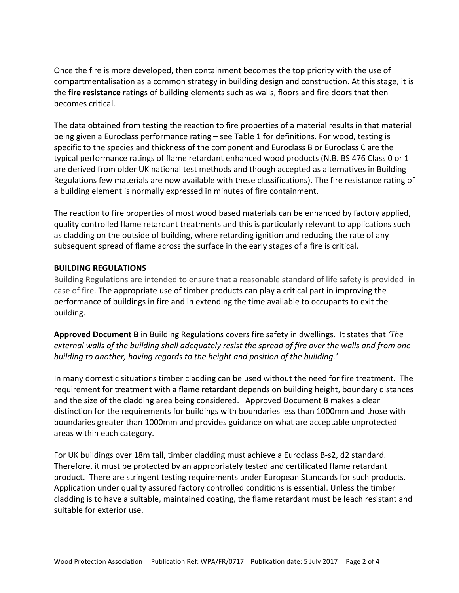Once the fire is more developed, then containment becomes the top priority with the use of compartmentalisation as a common strategy in building design and construction. At this stage, it is the **fire resistance** ratings of building elements such as walls, floors and fire doors that then becomes critical.

The data obtained from testing the reaction to fire properties of a material results in that material being given a Euroclass performance rating – see Table 1 for definitions. For wood, testing is specific to the species and thickness of the component and Euroclass B or Euroclass C are the typical performance ratings of flame retardant enhanced wood products (N.B. BS 476 Class 0 or 1 are derived from older UK national test methods and though accepted as alternatives in Building Regulations few materials are now available with these classifications). The fire resistance rating of a building element is normally expressed in minutes of fire containment.

The reaction to fire properties of most wood based materials can be enhanced by factory applied, quality controlled flame retardant treatments and this is particularly relevant to applications such as cladding on the outside of building, where retarding ignition and reducing the rate of any subsequent spread of flame across the surface in the early stages of a fire is critical.

### **BUILDING REGULATIONS**

Building Regulations are intended to ensure that a reasonable standard of life safety is provided in case of fire. The appropriate use of timber products can play a critical part in improving the performance of buildings in fire and in extending the time available to occupants to exit the building. 

**Approved Document B** in Building Regulations covers fire safety in dwellings. It states that *'The* external walls of the building shall adequately resist the spread of fire over the walls and from one *building* to another, having regards to the height and position of the building.'

In many domestic situations timber cladding can be used without the need for fire treatment. The requirement for treatment with a flame retardant depends on building height, boundary distances and the size of the cladding area being considered. Approved Document B makes a clear distinction for the requirements for buildings with boundaries less than 1000mm and those with boundaries greater than 1000mm and provides guidance on what are acceptable unprotected areas within each category.

For UK buildings over 18m tall, timber cladding must achieve a Euroclass B-s2, d2 standard. Therefore, it must be protected by an appropriately tested and certificated flame retardant product. There are stringent testing requirements under European Standards for such products. Application under quality assured factory controlled conditions is essential. Unless the timber cladding is to have a suitable, maintained coating, the flame retardant must be leach resistant and suitable for exterior use.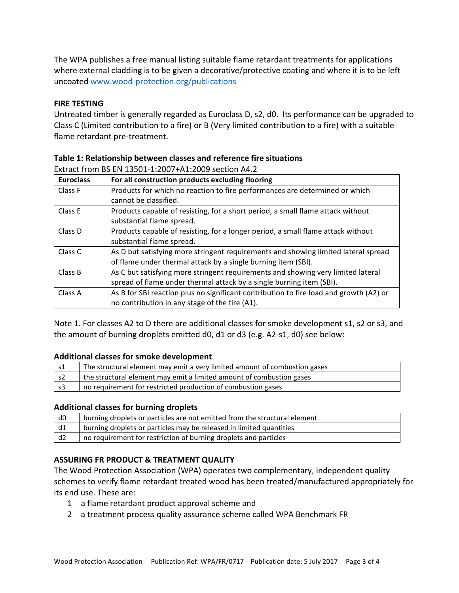The WPA publishes a free manual listing suitable flame retardant treatments for applications where external cladding is to be given a decorative/protective coating and where it is to be left uncoated www.wood-protection.org/publications

## **FIRE TESTING**

Untreated timber is generally regarded as Euroclass D, s2, d0. Its performance can be upgraded to Class C (Limited contribution to a fire) or B (Very limited contribution to a fire) with a suitable flame retardant pre-treatment.

| <b>Euroclass</b> | For all construction products excluding flooring                                       |
|------------------|----------------------------------------------------------------------------------------|
| Class F          | Products for which no reaction to fire performances are determined or which            |
|                  | cannot be classified.                                                                  |
| Class E          | Products capable of resisting, for a short period, a small flame attack without        |
|                  | substantial flame spread.                                                              |
| Class D          | Products capable of resisting, for a longer period, a small flame attack without       |
|                  | substantial flame spread.                                                              |
| Class C          | As D but satisfying more stringent requirements and showing limited lateral spread     |
|                  | of flame under thermal attack by a single burning item (SBI).                          |
| Class B          | As C but satisfying more stringent requirements and showing very limited lateral       |
|                  | spread of flame under thermal attack by a single burning item (SBI).                   |
| Class A          | As B for SBI reaction plus no significant contribution to fire load and growth (A2) or |
|                  | no contribution in any stage of the fire (A1).                                         |

Extract from BS EN 13501-1:2007+A1:2009 section  $\Delta$ 4.2

Note 1. For classes A2 to D there are additional classes for smoke development s1, s2 or s3, and the amount of burning droplets emitted d0, d1 or d3 (e.g. A2-s1, d0) see below:

### **Additional classes for smoke development**

| s1   | The structural element may emit a very limited amount of combustion gases |
|------|---------------------------------------------------------------------------|
| - s2 | the structural element may emit a limited amount of combustion gases      |
| ∣s3  | no requirement for restricted production of combustion gases              |

### **Additional classes for burning droplets**

| d0                     | burning droplets or particles are not emitted from the structural element |
|------------------------|---------------------------------------------------------------------------|
| $\mathsf{d}1$          | burning droplets or particles may be released in limited quantities       |
| $\vert$ d <sub>2</sub> | no requirement for restriction of burning droplets and particles          |

### **ASSURING FR PRODUCT & TREATMENT QUALITY**

The Wood Protection Association (WPA) operates two complementary, independent quality schemes to verify flame retardant treated wood has been treated/manufactured appropriately for its end use. These are:

- 1 a flame retardant product approval scheme and
- 2 a treatment process quality assurance scheme called WPA Benchmark FR